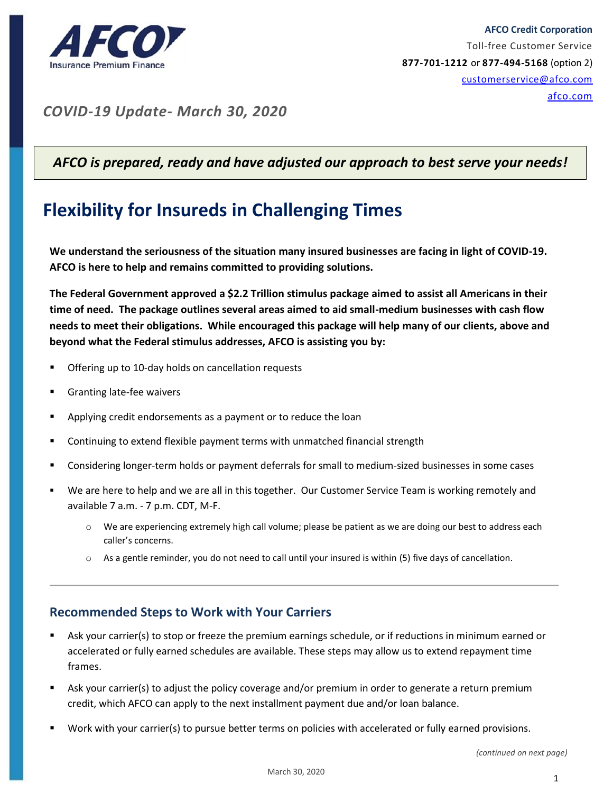

*COVID-19 Update- March 30, 2020*

## *AFCO is prepared, ready and have adjusted our approach to best serve your needs!*

# **Flexibility for Insureds in Challenging Times**

**We understand the seriousness of the situation many insured businesses are facing in light of COVID-19. AFCO is here to help and remains committed to providing solutions.**

**The Federal Government approved a \$2.2 Trillion stimulus package aimed to assist all Americans in their time of need. The package outlines several areas aimed to aid small-medium businesses with cash flow needs to meet their obligations. While encouraged this package will help many of our clients, above and beyond what the Federal stimulus addresses, AFCO is assisting you by:**

- Offering up to 10-day holds on cancellation requests
- Granting late-fee waivers
- Applying credit endorsements as a payment or to reduce the loan
- Continuing to extend flexible payment terms with unmatched financial strength
- Considering longer-term holds or payment deferrals for small to medium-sized businesses in some cases
- We are here to help and we are all in this together. Our Customer Service Team is working remotely and available 7 a.m. - 7 p.m. CDT, M-F.
	- o We are experiencing extremely high call volume; please be patient as we are doing our best to address each caller's concerns.
	- $\circ$  As a gentle reminder, you do not need to call until your insured is within (5) five days of cancellation.

### **Recommended Steps to Work with Your Carriers**

- Ask your carrier(s) to stop or freeze the premium earnings schedule, or if reductions in minimum earned or accelerated or fully earned schedules are available. These steps may allow us to extend repayment time frames.
- Ask your carrier(s) to adjust the policy coverage and/or premium in order to generate a return premium credit, which AFCO can apply to the next installment payment due and/or loan balance.
- Work with your carrier(s) to pursue better terms on policies with accelerated or fully earned provisions.